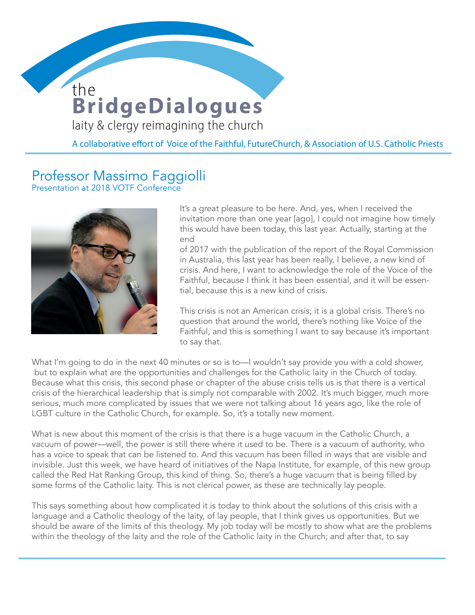## **BridgeDialogues** the

**WOMEN DEACONS** 

laity & clergy reimagining the church

A collaborative effort of Voice of the Faithful, FutureChurch, & Association of U.S. Catholic Priests

## Professor Massimo Faggiolli

Presentation at 2018 VOTF Conference



It's a great pleasure to be here. And, yes, when I received the invitation more than one year [ago], I could not imagine how timely this would have been today, this last year. Actually, starting at the end

of 2017 with the publication of the report of the Royal Commission in Australia, this last year has been really, I believe, a new kind of crisis. And here, I want to acknowledge the role of the Voice of the Faithful, because I think it has been essential, and it will be essential, because this is a new kind of crisis.

This crisis is not an American crisis; it is a global crisis. There's no question that around the world, there's nothing like Voice of the Faithful, and this is something I want to say because it's important to say that.

What I'm going to do in the next 40 minutes or so is to—I wouldn't say provide you with a cold shower, but to explain what are the opportunities and challenges for the Catholic laity in the Church of today. Because what this crisis, this second phase or chapter of the abuse crisis tells us is that there is a vertical crisis of the hierarchical leadership that is simply not comparable with 2002. It's much bigger, much more serious, much more complicated by issues that we were not talking about 16 years ago, like the role of LGBT culture in the Catholic Church, for example. So, it's a totally new moment.

What is new about this moment of the crisis is that there is a huge vacuum in the Catholic Church, a vacuum of power—well, the power is still there where it used to be. There is a vacuum of authority, who has a voice to speak that can be listened to. And this vacuum has been filled in ways that are visible and invisible. Just this week, we have heard of initiatives of the Napa Institute, for example, of this new group called the Red Hat Ranking Group, this kind of thing. So, there's a huge vacuum that is being filled by some forms of the Catholic laity. This is not clerical power, as these are technically lay people.

This says something about how complicated it is today to think about the solutions of this crisis with a language and a Catholic theology of the laity, of lay people, that I think gives us opportunities. But we should be aware of the limits of this theology. My job today will be mostly to show what are the problems within the theology of the laity and the role of the Catholic laity in the Church; and after that, to say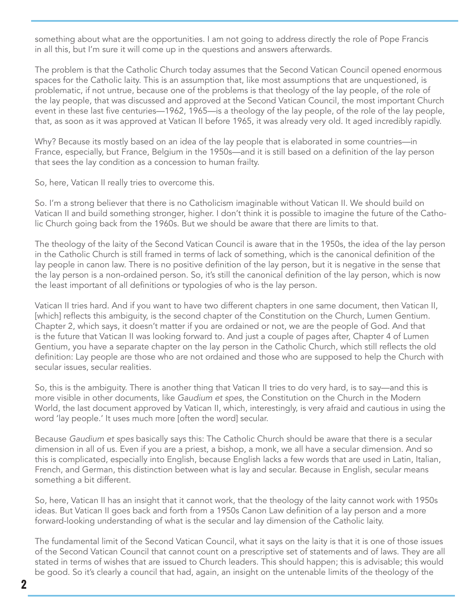something about what are the opportunities. I am not going to address directly the role of Pope Francis in all this, but I'm sure it will come up in the questions and answers afterwards.

The problem is that the Catholic Church today assumes that the Second Vatican Council opened enormous spaces for the Catholic laity. This is an assumption that, like most assumptions that are unquestioned, is problematic, if not untrue, because one of the problems is that theology of the lay people, of the role of the lay people, that was discussed and approved at the Second Vatican Council, the most important Church event in these last five centuries—1962, 1965—is a theology of the lay people, of the role of the lay people, that, as soon as it was approved at Vatican II before 1965, it was already very old. It aged incredibly rapidly.

Why? Because its mostly based on an idea of the lay people that is elaborated in some countries—in France, especially, but France, Belgium in the 1950s—and it is still based on a definition of the lay person that sees the lay condition as a concession to human frailty.

So, here, Vatican II really tries to overcome this.

So. I'm a strong believer that there is no Catholicism imaginable without Vatican II. We should build on Vatican II and build something stronger, higher. I don't think it is possible to imagine the future of the Catholic Church going back from the 1960s. But we should be aware that there are limits to that.

The theology of the laity of the Second Vatican Council is aware that in the 1950s, the idea of the lay person in the Catholic Church is still framed in terms of lack of something, which is the canonical definition of the lay people in canon law. There is no positive definition of the lay person, but it is negative in the sense that the lay person is a non-ordained person. So, it's still the canonical definition of the lay person, which is now the least important of all definitions or typologies of who is the lay person.

Vatican II tries hard. And if you want to have two different chapters in one same document, then Vatican II, [which] reflects this ambiguity, is the second chapter of the Constitution on the Church, Lumen Gentium. Chapter 2, which says, it doesn't matter if you are ordained or not, we are the people of God. And that is the future that Vatican II was looking forward to. And just a couple of pages after, Chapter 4 of Lumen Gentium, you have a separate chapter on the lay person in the Catholic Church, which still reflects the old definition: Lay people are those who are not ordained and those who are supposed to help the Church with secular issues, secular realities.

So, this is the ambiguity. There is another thing that Vatican II tries to do very hard, is to say—and this is more visible in other documents, like *Gaudium et spes*, the Constitution on the Church in the Modern World, the last document approved by Vatican II, which, interestingly, is very afraid and cautious in using the word 'lay people.' It uses much more [often the word] secular.

Because *Gaudium et spes* basically says this: The Catholic Church should be aware that there is a secular dimension in all of us. Even if you are a priest, a bishop, a monk, we all have a secular dimension. And so this is complicated, especially into English, because English lacks a few words that are used in Latin, Italian, French, and German, this distinction between what is lay and secular. Because in English, secular means something a bit different.

So, here, Vatican II has an insight that it cannot work, that the theology of the laity cannot work with 1950s ideas. But Vatican II goes back and forth from a 1950s Canon Law definition of a lay person and a more forward-looking understanding of what is the secular and lay dimension of the Catholic laity.

The fundamental limit of the Second Vatican Council, what it says on the laity is that it is one of those issues of the Second Vatican Council that cannot count on a prescriptive set of statements and of laws. They are all stated in terms of wishes that are issued to Church leaders. This should happen; this is advisable; this would be good. So it's clearly a council that had, again, an insight on the untenable limits of the theology of the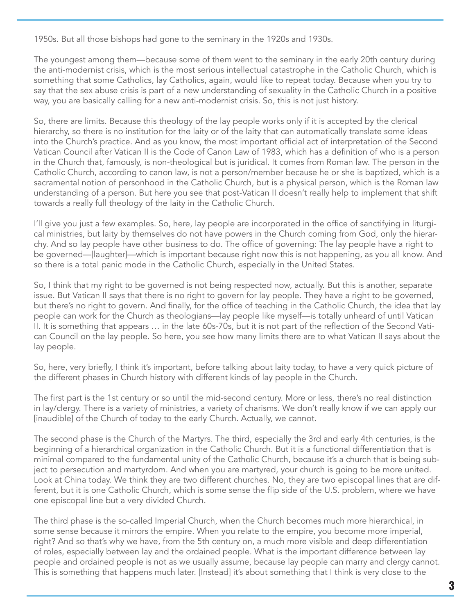1950s. But all those bishops had gone to the seminary in the 1920s and 1930s.

The youngest among them—because some of them went to the seminary in the early 20th century during the anti-modernist crisis, which is the most serious intellectual catastrophe in the Catholic Church, which is something that some Catholics, lay Catholics, again, would like to repeat today. Because when you try to say that the sex abuse crisis is part of a new understanding of sexuality in the Catholic Church in a positive way, you are basically calling for a new anti-modernist crisis. So, this is not just history.

So, there are limits. Because this theology of the lay people works only if it is accepted by the clerical hierarchy, so there is no institution for the laity or of the laity that can automatically translate some ideas into the Church's practice. And as you know, the most important official act of interpretation of the Second Vatican Council after Vatican II is the Code of Canon Law of 1983, which has a definition of who is a person in the Church that, famously, is non-theological but is juridical. It comes from Roman law. The person in the Catholic Church, according to canon law, is not a person/member because he or she is baptized, which is a sacramental notion of personhood in the Catholic Church, but is a physical person, which is the Roman law understanding of a person. But here you see that post-Vatican II doesn't really help to implement that shift towards a really full theology of the laity in the Catholic Church.

I'll give you just a few examples. So, here, lay people are incorporated in the office of sanctifying in liturgical ministries, but laity by themselves do not have powers in the Church coming from God, only the hierarchy. And so lay people have other business to do. The office of governing: The lay people have a right to be governed—[laughter]—which is important because right now this is not happening, as you all know. And so there is a total panic mode in the Catholic Church, especially in the United States.

So, I think that my right to be governed is not being respected now, actually. But this is another, separate issue. But Vatican II says that there is no right to govern for lay people. They have a right to be governed, but there's no right to govern. And finally, for the office of teaching in the Catholic Church, the idea that lay people can work for the Church as theologians—lay people like myself—is totally unheard of until Vatican II. It is something that appears … in the late 60s-70s, but it is not part of the reflection of the Second Vatican Council on the lay people. So here, you see how many limits there are to what Vatican II says about the lay people.

So, here, very briefly, I think it's important, before talking about laity today, to have a very quick picture of the different phases in Church history with different kinds of lay people in the Church.

The first part is the 1st century or so until the mid-second century. More or less, there's no real distinction in lay/clergy. There is a variety of ministries, a variety of charisms. We don't really know if we can apply our [inaudible] of the Church of today to the early Church. Actually, we cannot.

The second phase is the Church of the Martyrs. The third, especially the 3rd and early 4th centuries, is the beginning of a hierarchical organization in the Catholic Church. But it is a functional differentiation that is minimal compared to the fundamental unity of the Catholic Church, because it's a church that is being subject to persecution and martyrdom. And when you are martyred, your church is going to be more united. Look at China today. We think they are two different churches. No, they are two episcopal lines that are different, but it is one Catholic Church, which is some sense the flip side of the U.S. problem, where we have one episcopal line but a very divided Church.

The third phase is the so-called Imperial Church, when the Church becomes much more hierarchical, in some sense because it mirrors the empire. When you relate to the empire, you become more imperial, right? And so that's why we have, from the 5th century on, a much more visible and deep differentiation of roles, especially between lay and the ordained people. What is the important difference between lay people and ordained people is not as we usually assume, because lay people can marry and clergy cannot. This is something that happens much later. [Instead] it's about something that I think is very close to the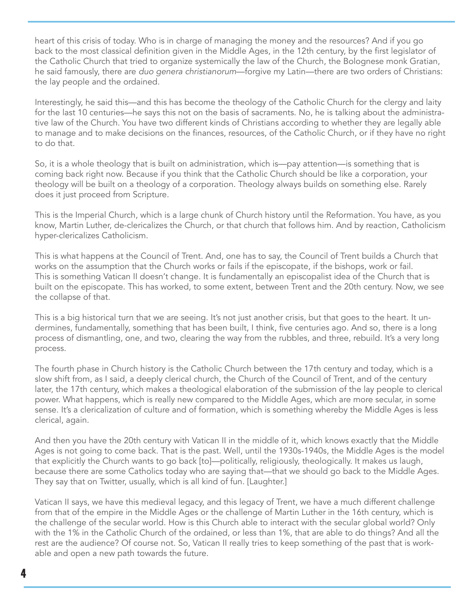heart of this crisis of today. Who is in charge of managing the money and the resources? And if you go back to the most classical definition given in the Middle Ages, in the 12th century, by the first legislator of the Catholic Church that tried to organize systemically the law of the Church, the Bolognese monk Gratian, he said famously, there are *duo genera christianorum*—forgive my Latin—there are two orders of Christians: the lay people and the ordained.

Interestingly, he said this—and this has become the theology of the Catholic Church for the clergy and laity for the last 10 centuries—he says this not on the basis of sacraments. No, he is talking about the administrative law of the Church. You have two different kinds of Christians according to whether they are legally able to manage and to make decisions on the finances, resources, of the Catholic Church, or if they have no right to do that.

So, it is a whole theology that is built on administration, which is—pay attention—is something that is coming back right now. Because if you think that the Catholic Church should be like a corporation, your theology will be built on a theology of a corporation. Theology always builds on something else. Rarely does it just proceed from Scripture.

This is the Imperial Church, which is a large chunk of Church history until the Reformation. You have, as you know, Martin Luther, de-clericalizes the Church, or that church that follows him. And by reaction, Catholicism hyper-clericalizes Catholicism.

This is what happens at the Council of Trent. And, one has to say, the Council of Trent builds a Church that works on the assumption that the Church works or fails if the episcopate, if the bishops, work or fail. This is something Vatican II doesn't change. It is fundamentally an episcopalist idea of the Church that is built on the episcopate. This has worked, to some extent, between Trent and the 20th century. Now, we see the collapse of that.

This is a big historical turn that we are seeing. It's not just another crisis, but that goes to the heart. It undermines, fundamentally, something that has been built, I think, five centuries ago. And so, there is a long process of dismantling, one, and two, clearing the way from the rubbles, and three, rebuild. It's a very long process.

The fourth phase in Church history is the Catholic Church between the 17th century and today, which is a slow shift from, as I said, a deeply clerical church, the Church of the Council of Trent, and of the century later, the 17th century, which makes a theological elaboration of the submission of the lay people to clerical power. What happens, which is really new compared to the Middle Ages, which are more secular, in some sense. It's a clericalization of culture and of formation, which is something whereby the Middle Ages is less clerical, again.

And then you have the 20th century with Vatican II in the middle of it, which knows exactly that the Middle Ages is not going to come back. That is the past. Well, until the 1930s-1940s, the Middle Ages is the model that explicitly the Church wants to go back [to]—politically, religiously, theologically. It makes us laugh, because there are some Catholics today who are saying that—that we should go back to the Middle Ages. They say that on Twitter, usually, which is all kind of fun. [Laughter.]

Vatican II says, we have this medieval legacy, and this legacy of Trent, we have a much different challenge from that of the empire in the Middle Ages or the challenge of Martin Luther in the 16th century, which is the challenge of the secular world. How is this Church able to interact with the secular global world? Only with the 1% in the Catholic Church of the ordained, or less than 1%, that are able to do things? And all the rest are the audience? Of course not. So, Vatican II really tries to keep something of the past that is workable and open a new path towards the future.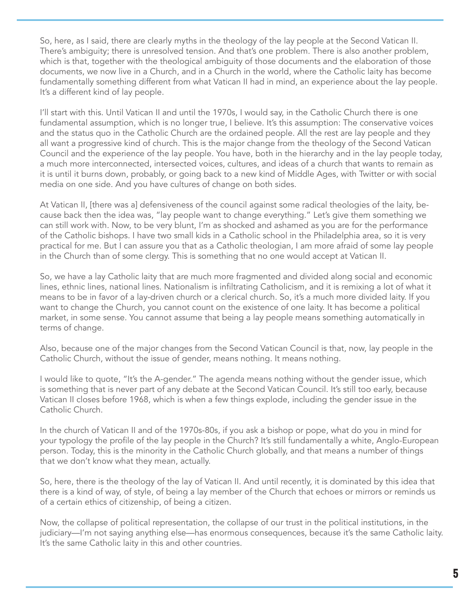There's ambiguity; there is unresolved tension. And that's one problem. There is also another problem,<br>which is that, together with the theological ambiguity of those documents and the elaboration of those So, here, as I said, there are clearly myths in the theology of the lay people at the Second Vatican II. There's ambiguity; there is unresolved tension. And that's one problem. There is also another problem, documents, we now live in a Church, and in a Church in the world, where the Catholic laity has become fundamentally something different from what Vatican II had in mind, an experience about the lay people. It's a different kind of lay people.

I'll start with this. Until Vatican II and until the 1970s, I would say, in the Catholic Church there is one fundamental assumption, which is no longer true, I believe. It's this assumption: The conservative voices and the status quo in the Catholic Church are the ordained people. All the rest are lay people and they all want a progressive kind of church. This is the major change from the theology of the Second Vatican Council and the experience of the lay people. You have, both in the hierarchy and in the lay people today, a much more interconnected, intersected voices, cultures, and ideas of a church that wants to remain as it is until it burns down, probably, or going back to a new kind of Middle Ages, with Twitter or with social media on one side. And you have cultures of change on both sides.

At Vatican II, [there was a] defensiveness of the council against some radical theologies of the laity, because back then the idea was, "lay people want to change everything." Let's give them something we can still work with. Now, to be very blunt, I'm as shocked and ashamed as you are for the performance of the Catholic bishops. I have two small kids in a Catholic school in the Philadelphia area, so it is very practical for me. But I can assure you that as a Catholic theologian, I am more afraid of some lay people in the Church than of some clergy. This is something that no one would accept at Vatican II.

So, we have a lay Catholic laity that are much more fragmented and divided along social and economic lines, ethnic lines, national lines. Nationalism is infiltrating Catholicism, and it is remixing a lot of what it means to be in favor of a lay-driven church or a clerical church. So, it's a much more divided laity. If you want to change the Church, you cannot count on the existence of one laity. It has become a political market, in some sense. You cannot assume that being a lay people means something automatically in terms of change.

Also, because one of the major changes from the Second Vatican Council is that, now, lay people in the Catholic Church, without the issue of gender, means nothing. It means nothing.

I would like to quote, "It's the A-gender." The agenda means nothing without the gender issue, which is something that is never part of any debate at the Second Vatican Council. It's still too early, because Vatican II closes before 1968, which is when a few things explode, including the gender issue in the Catholic Church.

In the church of Vatican II and of the 1970s-80s, if you ask a bishop or pope, what do you in mind for your typology the profile of the lay people in the Church? It's still fundamentally a white, Anglo-European person. Today, this is the minority in the Catholic Church globally, and that means a number of things that we don't know what they mean, actually.

So, here, there is the theology of the lay of Vatican II. And until recently, it is dominated by this idea that there is a kind of way, of style, of being a lay member of the Church that echoes or mirrors or reminds us of a certain ethics of citizenship, of being a citizen.

Now, the collapse of political representation, the collapse of our trust in the political institutions, in the judiciary—I'm not saying anything else—has enormous consequences, because it's the same Catholic laity. It's the same Catholic laity in this and other countries.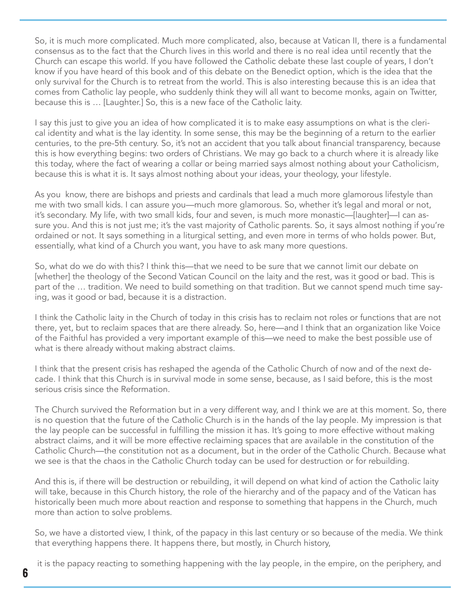So, it is much more complicated. Much more complicated, also, because at Vatican II, there is a fundamental consensus as to the fact that the Church lives in this world and there is no real idea until recently that the Church can escape this world. If you have followed the Catholic debate these last couple of years, I don't know if you have heard of this book and of this debate on the Benedict option, which is the idea that the only survival for the Church is to retreat from the world. This is also interesting because this is an idea that comes from Catholic lay people, who suddenly think they will all want to become monks, again on Twitter, because this is … [Laughter.] So, this is a new face of the Catholic laity.

I say this just to give you an idea of how complicated it is to make easy assumptions on what is the clerical identity and what is the lay identity. In some sense, this may be the beginning of a return to the earlier centuries, to the pre-5th century. So, it's not an accident that you talk about financial transparency, because this is how everything begins: two orders of Christians. We may go back to a church where it is already like this today, where the fact of wearing a collar or being married says almost nothing about your Catholicism, because this is what it is. It says almost nothing about your ideas, your theology, your lifestyle.

As you know, there are bishops and priests and cardinals that lead a much more glamorous lifestyle than me with two small kids. I can assure you—much more glamorous. So, whether it's legal and moral or not, it's secondary. My life, with two small kids, four and seven, is much more monastic—[laughter]—I can assure you. And this is not just me; it's the vast majority of Catholic parents. So, it says almost nothing if you're ordained or not. It says something in a liturgical setting, and even more in terms of who holds power. But, essentially, what kind of a Church you want, you have to ask many more questions.

So, what do we do with this? I think this—that we need to be sure that we cannot limit our debate on [whether] the theology of the Second Vatican Council on the laity and the rest, was it good or bad. This is part of the … tradition. We need to build something on that tradition. But we cannot spend much time saying, was it good or bad, because it is a distraction.

I think the Catholic laity in the Church of today in this crisis has to reclaim not roles or functions that are not there, yet, but to reclaim spaces that are there already. So, here—and I think that an organization like Voice of the Faithful has provided a very important example of this—we need to make the best possible use of what is there already without making abstract claims.

I think that the present crisis has reshaped the agenda of the Catholic Church of now and of the next decade. I think that this Church is in survival mode in some sense, because, as I said before, this is the most serious crisis since the Reformation.

The Church survived the Reformation but in a very different way, and I think we are at this moment. So, there is no question that the future of the Catholic Church is in the hands of the lay people. My impression is that the lay people can be successful in fulfilling the mission it has. It's going to more effective without making abstract claims, and it will be more effective reclaiming spaces that are available in the constitution of the Catholic Church—the constitution not as a document, but in the order of the Catholic Church. Because what we see is that the chaos in the Catholic Church today can be used for destruction or for rebuilding.

And this is, if there will be destruction or rebuilding, it will depend on what kind of action the Catholic laity will take, because in this Church history, the role of the hierarchy and of the papacy and of the Vatican has historically been much more about reaction and response to something that happens in the Church, much more than action to solve problems.

So, we have a distorted view, I think, of the papacy in this last century or so because of the media. We think that everything happens there. It happens there, but mostly, in Church history,

it is the papacy reacting to something happening with the lay people, in the empire, on the periphery, and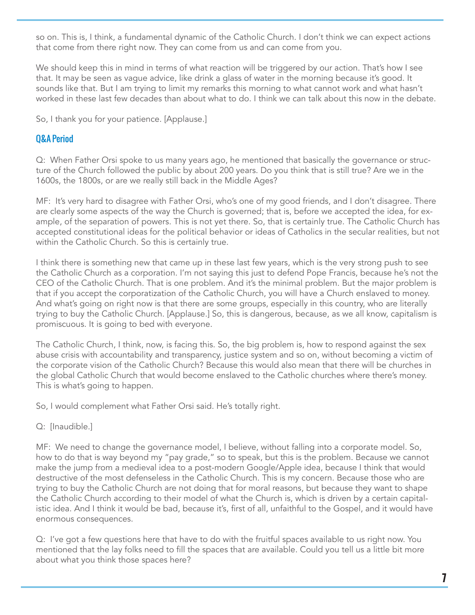**WOMEN DEACH DEACH COMPANY** so on. This is, I think, a fundamental dynamic of the Catholic Church. I don't think we can expect actions that come from there right now. They can come from us and can come from you.

We should keep this in mind in terms of what reaction will be triggered by our action. That's how I see that. It may be seen as vague advice, like drink a glass of water in the morning because it's good. It sounds like that. But I am trying to limit my remarks this morning to what cannot work and what hasn't worked in these last few decades than about what to do. I think we can talk about this now in the debate.

So, I thank you for your patience. [Applause.]

## Q&A Period

Q: When Father Orsi spoke to us many years ago, he mentioned that basically the governance or structure of the Church followed the public by about 200 years. Do you think that is still true? Are we in the 1600s, the 1800s, or are we really still back in the Middle Ages?

MF: It's very hard to disagree with Father Orsi, who's one of my good friends, and I don't disagree. There are clearly some aspects of the way the Church is governed; that is, before we accepted the idea, for example, of the separation of powers. This is not yet there. So, that is certainly true. The Catholic Church has accepted constitutional ideas for the political behavior or ideas of Catholics in the secular realities, but not within the Catholic Church. So this is certainly true.

I think there is something new that came up in these last few years, which is the very strong push to see the Catholic Church as a corporation. I'm not saying this just to defend Pope Francis, because he's not the CEO of the Catholic Church. That is one problem. And it's the minimal problem. But the major problem is that if you accept the corporatization of the Catholic Church, you will have a Church enslaved to money. And what's going on right now is that there are some groups, especially in this country, who are literally trying to buy the Catholic Church. [Applause.] So, this is dangerous, because, as we all know, capitalism is promiscuous. It is going to bed with everyone.

The Catholic Church, I think, now, is facing this. So, the big problem is, how to respond against the sex abuse crisis with accountability and transparency, justice system and so on, without becoming a victim of the corporate vision of the Catholic Church? Because this would also mean that there will be churches in the global Catholic Church that would become enslaved to the Catholic churches where there's money. This is what's going to happen.

So, I would complement what Father Orsi said. He's totally right.

## Q: [Inaudible.]

MF: We need to change the governance model, I believe, without falling into a corporate model. So, how to do that is way beyond my "pay grade," so to speak, but this is the problem. Because we cannot make the jump from a medieval idea to a post-modern Google/Apple idea, because I think that would destructive of the most defenseless in the Catholic Church. This is my concern. Because those who are trying to buy the Catholic Church are not doing that for moral reasons, but because they want to shape the Catholic Church according to their model of what the Church is, which is driven by a certain capitalistic idea. And I think it would be bad, because it's, first of all, unfaithful to the Gospel, and it would have enormous consequences.

Q: I've got a few questions here that have to do with the fruitful spaces available to us right now. You mentioned that the lay folks need to fill the spaces that are available. Could you tell us a little bit more about what you think those spaces here?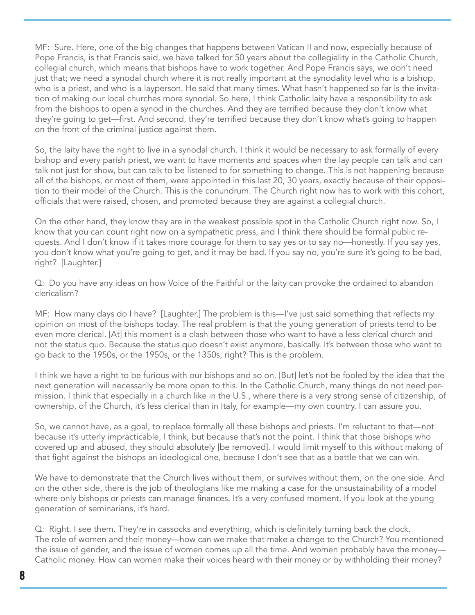MF: Sure. Here, one of the big changes that happens between Vatican II and now, especially because of Pope Francis, is that Francis said, we have talked for 50 years about the collegiality in the Catholic Church, collegial church, which means that bishops have to work together. And Pope Francis says, we don't need just that; we need a synodal church where it is not really important at the synodality level who is a bishop, who is a priest, and who is a layperson. He said that many times. What hasn't happened so far is the invitation of making our local churches more synodal. So here, I think Catholic laity have a responsibility to ask from the bishops to open a synod in the churches. And they are terrified because they don't know what they're going to get—first. And second, they're terrified because they don't know what's going to happen on the front of the criminal justice against them.

So, the laity have the right to live in a synodal church. I think it would be necessary to ask formally of every bishop and every parish priest, we want to have moments and spaces when the lay people can talk and can talk not just for show, but can talk to be listened to for something to change. This is not happening because all of the bishops, or most of them, were appointed in this last 20, 30 years, exactly because of their opposition to their model of the Church. This is the conundrum. The Church right now has to work with this cohort, officials that were raised, chosen, and promoted because they are against a collegial church.

On the other hand, they know they are in the weakest possible spot in the Catholic Church right now. So, I know that you can count right now on a sympathetic press, and I think there should be formal public requests. And I don't know if it takes more courage for them to say yes or to say no—honestly. If you say yes, you don't know what you're going to get, and it may be bad. If you say no, you're sure it's going to be bad, right? [Laughter.]

Q: Do you have any ideas on how Voice of the Faithful or the laity can provoke the ordained to abandon clericalism?

MF: How many days do I have? [Laughter.] The problem is this—I've just said something that reflects my opinion on most of the bishops today. The real problem is that the young generation of priests tend to be even more clerical. [At] this moment is a clash between those who want to have a less clerical church and not the status quo. Because the status quo doesn't exist anymore, basically. It's between those who want to go back to the 1950s, or the 1950s, or the 1350s, right? This is the problem.

I think we have a right to be furious with our bishops and so on. [But] let's not be fooled by the idea that the next generation will necessarily be more open to this. In the Catholic Church, many things do not need permission. I think that especially in a church like in the U.S., where there is a very strong sense of citizenship, of ownership, of the Church, it's less clerical than in Italy, for example—my own country. I can assure you.

So, we cannot have, as a goal, to replace formally all these bishops and priests. I'm reluctant to that—not because it's utterly impracticable, I think, but because that's not the point. I think that those bishops who covered up and abused, they should absolutely [be removed]. I would limit myself to this without making of that fight against the bishops an ideological one, because I don't see that as a battle that we can win.

We have to demonstrate that the Church lives without them, or survives without them, on the one side. And on the other side, there is the job of theologians like me making a case for the unsustainability of a model where only bishops or priests can manage finances. It's a very confused moment. If you look at the young generation of seminarians, it's hard.

Q: Right. I see them. They're in cassocks and everything, which is definitely turning back the clock. The role of women and their money—how can we make that make a change to the Church? You mentioned the issue of gender, and the issue of women comes up all the time. And women probably have the money— Catholic money. How can women make their voices heard with their money or by withholding their money?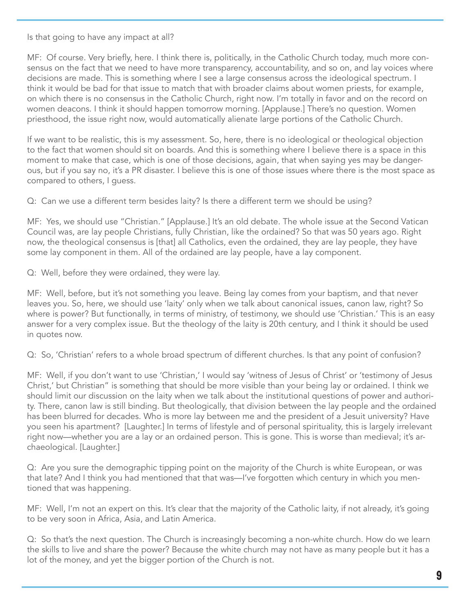Is that going to have any impact at all?

MF: Of course. Very briefly, here. I think there is, politically, in the Catholic Church today, much more consensus on the fact that we need to have more transparency, accountability, and so on, and lay voices where decisions are made. This is something where I see a large consensus across the ideological spectrum. I think it would be bad for that issue to match that with broader claims about women priests, for example, on which there is no consensus in the Catholic Church, right now. I'm totally in favor and on the record on women deacons. I think it should happen tomorrow morning. [Applause.] There's no question. Women priesthood, the issue right now, would automatically alienate large portions of the Catholic Church.

If we want to be realistic, this is my assessment. So, here, there is no ideological or theological objection to the fact that women should sit on boards. And this is something where I believe there is a space in this moment to make that case, which is one of those decisions, again, that when saying yes may be dangerous, but if you say no, it's a PR disaster. I believe this is one of those issues where there is the most space as compared to others, I guess.

Q: Can we use a different term besides laity? Is there a different term we should be using?

MF: Yes, we should use "Christian." [Applause.] It's an old debate. The whole issue at the Second Vatican Council was, are lay people Christians, fully Christian, like the ordained? So that was 50 years ago. Right now, the theological consensus is [that] all Catholics, even the ordained, they are lay people, they have some lay component in them. All of the ordained are lay people, have a lay component.

Q: Well, before they were ordained, they were lay.

MF: Well, before, but it's not something you leave. Being lay comes from your baptism, and that never leaves you. So, here, we should use 'laity' only when we talk about canonical issues, canon law, right? So where is power? But functionally, in terms of ministry, of testimony, we should use 'Christian.' This is an easy answer for a very complex issue. But the theology of the laity is 20th century, and I think it should be used in quotes now.

Q: So, 'Christian' refers to a whole broad spectrum of different churches. Is that any point of confusion?

MF: Well, if you don't want to use 'Christian,' I would say 'witness of Jesus of Christ' or 'testimony of Jesus Christ,' but Christian" is something that should be more visible than your being lay or ordained. I think we should limit our discussion on the laity when we talk about the institutional questions of power and authority. There, canon law is still binding. But theologically, that division between the lay people and the ordained has been blurred for decades. Who is more lay between me and the president of a Jesuit university? Have you seen his apartment? [Laughter.] In terms of lifestyle and of personal spirituality, this is largely irrelevant right now—whether you are a lay or an ordained person. This is gone. This is worse than medieval; it's archaeological. [Laughter.]

Q: Are you sure the demographic tipping point on the majority of the Church is white European, or was that late? And I think you had mentioned that that was—I've forgotten which century in which you mentioned that was happening.

MF: Well, I'm not an expert on this. It's clear that the majority of the Catholic laity, if not already, it's going to be very soon in Africa, Asia, and Latin America.

Q: So that's the next question. The Church is increasingly becoming a non-white church. How do we learn the skills to live and share the power? Because the white church may not have as many people but it has a lot of the money, and yet the bigger portion of the Church is not.